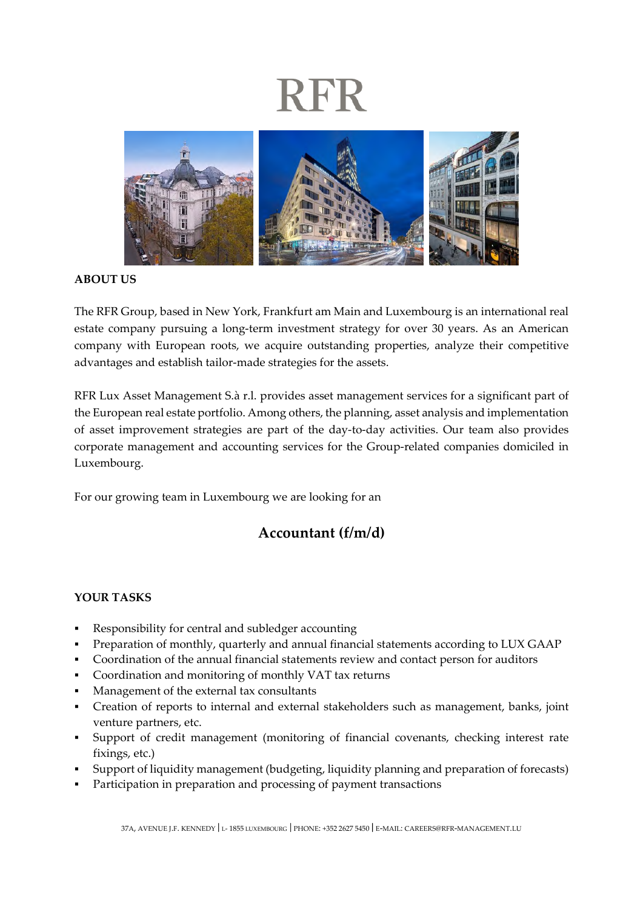## **RFR**



**ABOUT US** 

The RFR Group, based in New York, Frankfurt am Main and Luxembourg is an international real estate company pursuing a long-term investment strategy for over 30 years. As an American company with European roots, we acquire outstanding properties, analyze their competitive advantages and establish tailor-made strategies for the assets.

RFR Lux Asset Management S.à r.l. provides asset management services for a significant part of the European real estate portfolio. Among others, the planning, asset analysis and implementation of asset improvement strategies are part of the day-to-day activities. Our team also provides corporate management and accounting services for the Group-related companies domiciled in Luxembourg.

For our growing team in Luxembourg we are looking for an

### **Accountant (f/m/d)**

### **YOUR TASKS**

- Responsibility for central and subledger accounting
- Preparation of monthly, quarterly and annual financial statements according to LUX GAAP
- Coordination of the annual financial statements review and contact person for auditors
- Coordination and monitoring of monthly VAT tax returns
- Management of the external tax consultants
- Creation of reports to internal and external stakeholders such as management, banks, joint venture partners, etc.
- Support of credit management (monitoring of financial covenants, checking interest rate fixings, etc.)
- Support of liquidity management (budgeting, liquidity planning and preparation of forecasts)
- Participation in preparation and processing of payment transactions